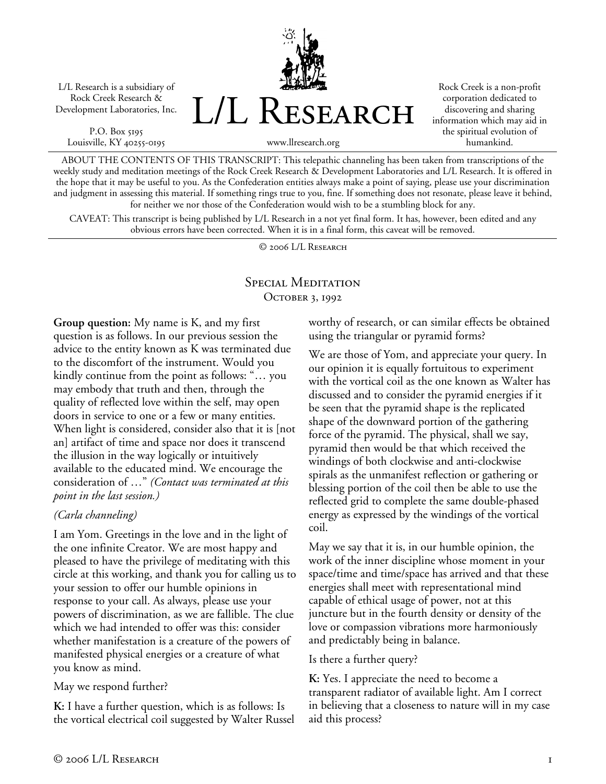L/L Research is a subsidiary of Rock Creek Research & Development Laboratories, Inc.

P.O. Box 5195 Louisville, KY 40255-0195



Rock Creek is a non-profit corporation dedicated to discovering and sharing information which may aid in the spiritual evolution of humankind.

ABOUT THE CONTENTS OF THIS TRANSCRIPT: This telepathic channeling has been taken from transcriptions of the weekly study and meditation meetings of the Rock Creek Research & Development Laboratories and L/L Research. It is offered in the hope that it may be useful to you. As the Confederation entities always make a point of saying, please use your discrimination and judgment in assessing this material. If something rings true to you, fine. If something does not resonate, please leave it behind, for neither we nor those of the Confederation would wish to be a stumbling block for any.

CAVEAT: This transcript is being published by L/L Research in a not yet final form. It has, however, been edited and any obvious errors have been corrected. When it is in a final form, this caveat will be removed.

© 2006 L/L Research

# Special Meditation OCTOBER 3, 1992

**Group question:** My name is K, and my first question is as follows. In our previous session the advice to the entity known as K was terminated due to the discomfort of the instrument. Would you kindly continue from the point as follows: "… you may embody that truth and then, through the quality of reflected love within the self, may open doors in service to one or a few or many entities. When light is considered, consider also that it is [not an] artifact of time and space nor does it transcend the illusion in the way logically or intuitively available to the educated mind. We encourage the consideration of …" *(Contact was terminated at this point in the last session.)*

### *(Carla channeling)*

I am Yom. Greetings in the love and in the light of the one infinite Creator. We are most happy and pleased to have the privilege of meditating with this circle at this working, and thank you for calling us to your session to offer our humble opinions in response to your call. As always, please use your powers of discrimination, as we are fallible. The clue which we had intended to offer was this: consider whether manifestation is a creature of the powers of manifested physical energies or a creature of what you know as mind.

### May we respond further?

**K:** I have a further question, which is as follows: Is the vortical electrical coil suggested by Walter Russel worthy of research, or can similar effects be obtained using the triangular or pyramid forms?

We are those of Yom, and appreciate your query. In our opinion it is equally fortuitous to experiment with the vortical coil as the one known as Walter has discussed and to consider the pyramid energies if it be seen that the pyramid shape is the replicated shape of the downward portion of the gathering force of the pyramid. The physical, shall we say, pyramid then would be that which received the windings of both clockwise and anti-clockwise spirals as the unmanifest reflection or gathering or blessing portion of the coil then be able to use the reflected grid to complete the same double-phased energy as expressed by the windings of the vortical coil.

May we say that it is, in our humble opinion, the work of the inner discipline whose moment in your space/time and time/space has arrived and that these energies shall meet with representational mind capable of ethical usage of power, not at this juncture but in the fourth density or density of the love or compassion vibrations more harmoniously and predictably being in balance.

### Is there a further query?

**K:** Yes. I appreciate the need to become a transparent radiator of available light. Am I correct in believing that a closeness to nature will in my case aid this process?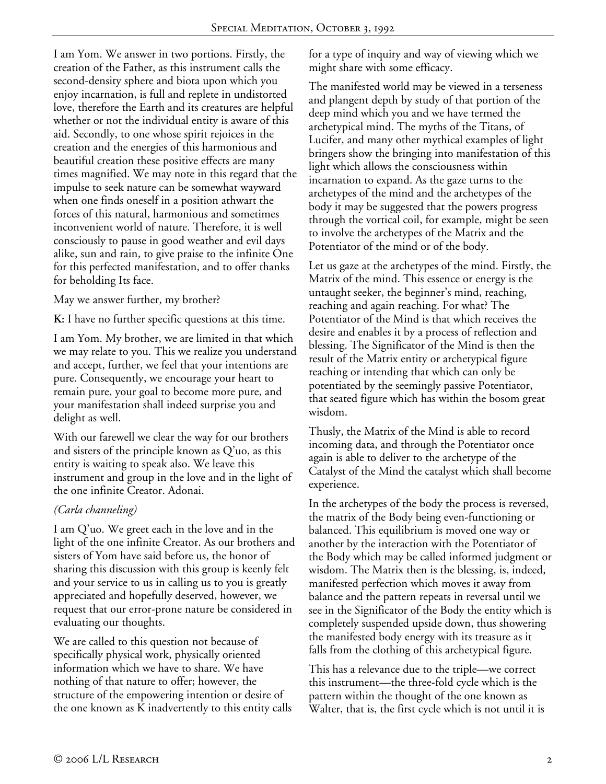I am Yom. We answer in two portions. Firstly, the creation of the Father, as this instrument calls the second-density sphere and biota upon which you enjoy incarnation, is full and replete in undistorted love, therefore the Earth and its creatures are helpful whether or not the individual entity is aware of this aid. Secondly, to one whose spirit rejoices in the creation and the energies of this harmonious and beautiful creation these positive effects are many times magnified. We may note in this regard that the impulse to seek nature can be somewhat wayward when one finds oneself in a position athwart the forces of this natural, harmonious and sometimes inconvenient world of nature. Therefore, it is well consciously to pause in good weather and evil days alike, sun and rain, to give praise to the infinite One for this perfected manifestation, and to offer thanks for beholding Its face.

May we answer further, my brother?

**K:** I have no further specific questions at this time.

I am Yom. My brother, we are limited in that which we may relate to you. This we realize you understand and accept, further, we feel that your intentions are pure. Consequently, we encourage your heart to remain pure, your goal to become more pure, and your manifestation shall indeed surprise you and delight as well.

With our farewell we clear the way for our brothers and sisters of the principle known as Q'uo, as this entity is waiting to speak also. We leave this instrument and group in the love and in the light of the one infinite Creator. Adonai.

### *(Carla channeling)*

I am Q'uo. We greet each in the love and in the light of the one infinite Creator. As our brothers and sisters of Yom have said before us, the honor of sharing this discussion with this group is keenly felt and your service to us in calling us to you is greatly appreciated and hopefully deserved, however, we request that our error-prone nature be considered in evaluating our thoughts.

We are called to this question not because of specifically physical work, physically oriented information which we have to share. We have nothing of that nature to offer; however, the structure of the empowering intention or desire of the one known as K inadvertently to this entity calls for a type of inquiry and way of viewing which we might share with some efficacy.

The manifested world may be viewed in a terseness and plangent depth by study of that portion of the deep mind which you and we have termed the archetypical mind. The myths of the Titans, of Lucifer, and many other mythical examples of light bringers show the bringing into manifestation of this light which allows the consciousness within incarnation to expand. As the gaze turns to the archetypes of the mind and the archetypes of the body it may be suggested that the powers progress through the vortical coil, for example, might be seen to involve the archetypes of the Matrix and the Potentiator of the mind or of the body.

Let us gaze at the archetypes of the mind. Firstly, the Matrix of the mind. This essence or energy is the untaught seeker, the beginner's mind, reaching, reaching and again reaching. For what? The Potentiator of the Mind is that which receives the desire and enables it by a process of reflection and blessing. The Significator of the Mind is then the result of the Matrix entity or archetypical figure reaching or intending that which can only be potentiated by the seemingly passive Potentiator, that seated figure which has within the bosom great wisdom.

Thusly, the Matrix of the Mind is able to record incoming data, and through the Potentiator once again is able to deliver to the archetype of the Catalyst of the Mind the catalyst which shall become experience.

In the archetypes of the body the process is reversed, the matrix of the Body being even-functioning or balanced. This equilibrium is moved one way or another by the interaction with the Potentiator of the Body which may be called informed judgment or wisdom. The Matrix then is the blessing, is, indeed, manifested perfection which moves it away from balance and the pattern repeats in reversal until we see in the Significator of the Body the entity which is completely suspended upside down, thus showering the manifested body energy with its treasure as it falls from the clothing of this archetypical figure.

This has a relevance due to the triple—we correct this instrument—the three-fold cycle which is the pattern within the thought of the one known as Walter, that is, the first cycle which is not until it is